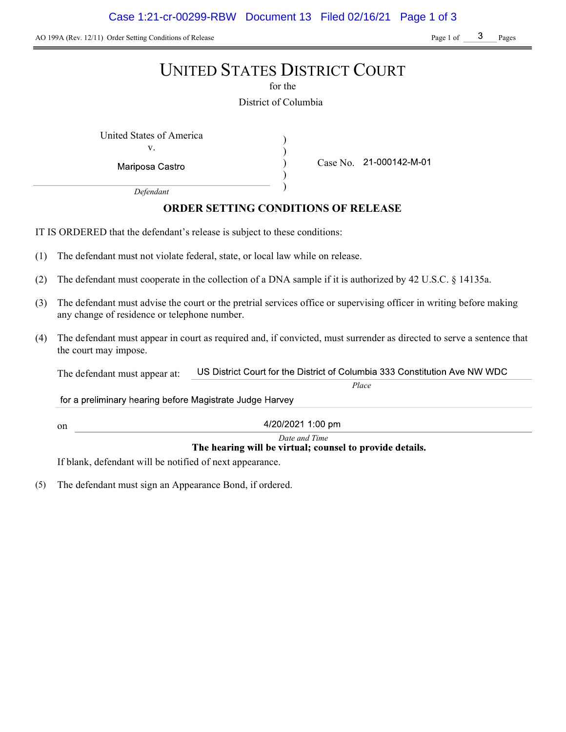AO 199A (Rev. 12/11) Order Setting Conditions of Release Page 1 of Page 1 of Page 1 of Pages

# UNITED STATES DISTRICT COURT

for the

District of Columbia

) ) ) )

United States of America (1992)

v.

Mariposa Castro

Case No. 21-000142-M-01

Place

Defendant

# ORDER SETTING CONDITIONS OF RELEASE

IT IS ORDERED that the defendant's release is subject to these conditions:

- (1) The defendant must not violate federal, state, or local law while on release.
- (2) The defendant must cooperate in the collection of a DNA sample if it is authorized by 42 U.S.C. § 14135a.
- (3) The defendant must advise the court or the pretrial services office or supervising officer in writing before making any change of residence or telephone number.
- (4) The defendant must appear in court as required and, if convicted, must surrender as directed to serve a sentence that the court may impose.

US District Court for the District of Columbia 333 Constitution Ave NW WDC The defendant must appear at:

for a preliminary hearing before Magistrate Judge Harvey

4/20/2021 1:00 pm

Date and Time<br>The hearing will be virtual; counsel to provide details.

If blank, defendant will be notified of next appearance.

on

(5) The defendant must sign an Appearance Bond, if ordered.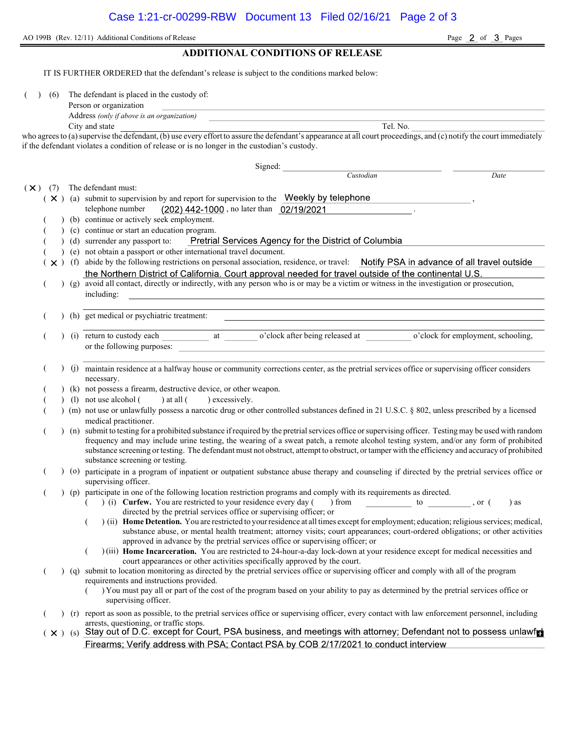AO 199B (Rev. 12/11) Additional Conditions of Release Page 2 of 3 Pages

## ADDITIONAL CONDITIONS OF RELEASE

IT IS FURTHER ORDERED that the defendant's release is subject to the conditions marked below:

(6) The defendant is placed in the custody of:

| Person or organization |  |
|------------------------|--|
|                        |  |

Address (only if above is an organization)

City and state Tel. No.

who agrees to (a) supervise the defendant, (b) use every effort to assure the defendant's appearance at all court proceedings, and (c) notify the court immediately if the defendant violates a condition of release or is no longer in the custodian's custody.

Signed: Custodian Date  $(\times)$  (7) The defendant must:  $(X)$  (a) submit to supervision by and report for supervision to the Weekly by telephone telephone number  $(202)$  442-1000, no later than  $02/19/2021$ (b) continue or actively seek employment. (c) continue or start an education program. Pretrial Services Agency for the District of Columbia ( ) (d) surrender any passport to: ( ) (e) not obtain a passport or other international travel document.  $(\times)$  (f) abide by the following restrictions on personal association, residence, or travel: Notify PSA in advance of all travel outside the Northern District of California. Court approval needed for travel outside of the continental U.S. ( ) (g) avoid all contact, directly or indirectly, with any person who is or may be a victim or witness in the investigation or prosecution, including: ( ) (h) get medical or psychiatric treatment: (i) return to custody each at o'clock after being released at o'clock for employment, schooling, or the following purposes: ( ) (j) maintain residence at a halfway house or community corrections center, as the pretrial services office or supervising officer considers necessary. (k) not possess a firearm, destructive device, or other weapon. (1) not use alcohol  $($  ) at all  $($  ) excessively. ( ) (m) not use or unlawfully possess a narcotic drug or other controlled substances defined in 21 U.S.C. § 802, unless prescribed by a licensed medical practitioner. ( ) (n) submit to testing for a prohibited substance if required by the pretrial services office or supervising officer. Testing may be used with random frequency and may include urine testing, the wearing of a sweat patch, a remote alcohol testing system, and/or any form of prohibited substance screening or testing. The defendant must not obstruct, attempt to obstruct, or tamper with the efficiency and accuracy of prohibited substance screening or testing. ( ) (o) participate in a program of inpatient or outpatient substance abuse therapy and counseling if directed by the pretrial services office or supervising officer. ( ) (p) participate in one of the following location restriction programs and comply with its requirements as directed.  $($   $)$  (i) Curfew. You are restricted to your residence every day () from to , or () as directed by the pretrial services office or supervising officer; or  $($ ) (ii) Home Detention. You are restricted to your residence at all times except for employment; education; religious services; medical, substance abuse, or mental health treatment; attorney visits; court appearances; court-ordered obligations; or other activities approved in advance by the pretrial services office or supervising officer; or ( ) (iii) Home Incarceration. You are restricted to 24-hour-a-day lock-down at your residence except for medical necessities and court appearances or other activities specifically approved by the court. ( ) (q) submit to location monitoring as directed by the pretrial services office or supervising officer and comply with all of the program requirements and instructions provided. ( ) You must pay all or part of the cost of the program based on your ability to pay as determined by the pretrial services office or supervising officer. ( ) (r) report as soon as possible, to the pretrial services office or supervising officer, every contact with law enforcement personnel, including arrests, questioning, or traffic stops.<br>Stay out of D.C. except for Court, PSA business, and meetings with attorney; Defendant not to possess unlawfri  $(\times )$  (s) Firearms; Verify address with PSA; Contact PSA by COB 2/17/2021 to conduct interview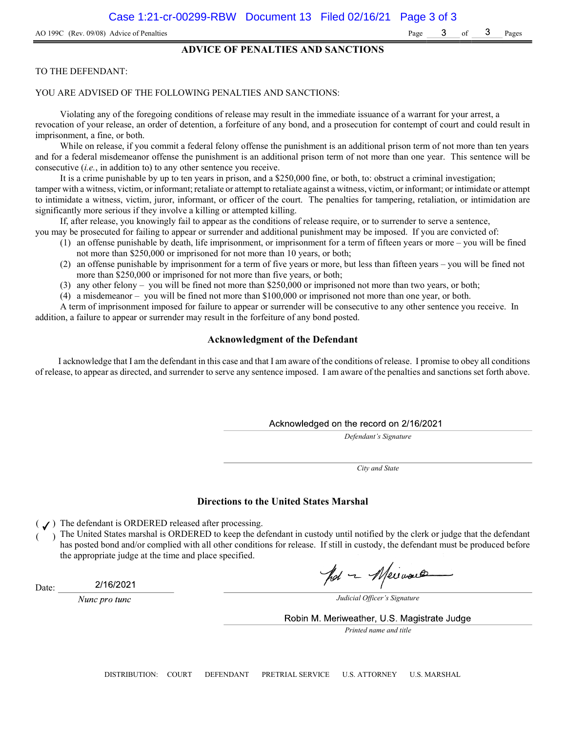#### ADVICE OF PENALTIES AND SANCTIONS

#### TO THE DEFENDANT:

#### YOU ARE ADVISED OF THE FOLLOWING PENALTIES AND SANCTIONS:

Violating any of the foregoing conditions of release may result in the immediate issuance of a warrant for your arrest, a revocation of your release, an order of detention, a forfeiture of any bond, and a prosecution for contempt of court and could result in imprisonment, a fine, or both.

While on release, if you commit a federal felony offense the punishment is an additional prison term of not more than ten years and for a federal misdemeanor offense the punishment is an additional prison term of not more than one year. This sentence will be consecutive (i.e., in addition to) to any other sentence you receive.

It is a crime punishable by up to ten years in prison, and a \$250,000 fine, or both, to: obstruct a criminal investigation; tamper with a witness, victim, or informant; retaliate or attempt to retaliate against a witness, victim, or informant; or intimidate or attempt to intimidate a witness, victim, juror, informant, or officer of the court. The penalties for tampering, retaliation, or intimidation are significantly more serious if they involve a killing or attempted killing.

If, after release, you knowingly fail to appear as the conditions of release require, or to surrender to serve a sentence,

- you may be prosecuted for failing to appear or surrender and additional punishment may be imposed. If you are convicted of: (1) an offense punishable by death, life imprisonment, or imprisonment for a term of fifteen years or more – you will be fined not more than \$250,000 or imprisoned for not more than 10 years, or both;
	- (2) an offense punishable by imprisonment for a term of five years or more, but less than fifteen years you will be fined not more than \$250,000 or imprisoned for not more than five years, or both;
	- (3) any other felony you will be fined not more than \$250,000 or imprisoned not more than two years, or both;
	- (4) a misdemeanor you will be fined not more than \$100,000 or imprisoned not more than one year, or both.

A term of imprisonment imposed for failure to appear or surrender will be consecutive to any other sentence you receive. In addition, a failure to appear or surrender may result in the forfeiture of any bond posted.

## Acknowledgment of the Defendant

I acknowledge that I am the defendant in this case and that I am aware of the conditions of release. I promise to obey all conditions of release, to appear as directed, and surrender to serve any sentence imposed. I am aware of the penalties and sanctions set forth above.

#### Acknowledged on the record on 2/16/2021

Defendant's Signature

City and State

#### Directions to the United States Marshal

 $($   $J)$  The defendant is ORDERED released after processing.

The United States marshal is ORDERED to keep the defendant in custody until notified by the clerk or judge that the defendant has posted bond and/or complied with all other conditions for release. If still in custody, the defendant must be produced before the appropriate judge at the time and place specified.

Date:

2/16/2021

Nunc pro tunc

pot - Meiraux

Judicial Officer's Signature

Robin M. Meriweather, U.S. Magistrate Judge

Printed name and title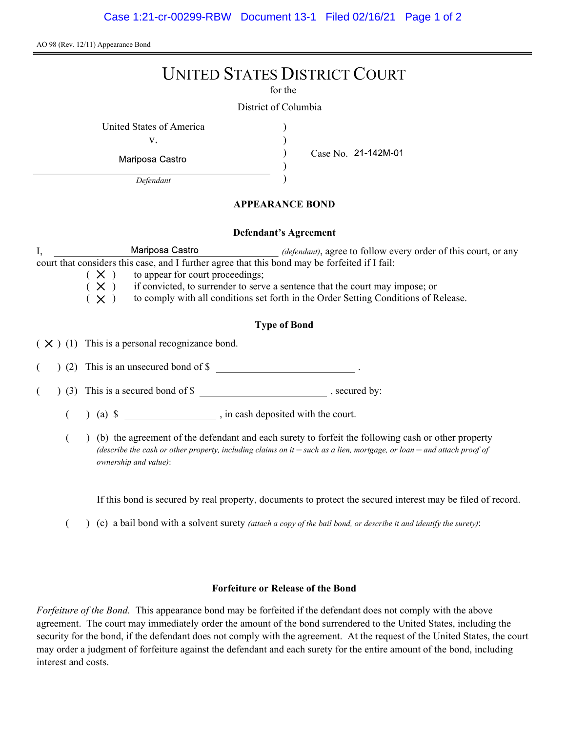AO 98 (Rev. 12/11) Appearance Bond

# UNITED STATES DISTRICT COURT

for the

) ) ) )

District of Columbia

United States of America (1996)

v.

Mariposa Castro

Case No.

Defendant

# APPEARANCE BOND

#### Defendant's Agreement

I, Mariposa Castro *(defendant)*, agree to follow every order of this court, or any court that considers this case, and I further agree that this bond may be forfeited if I fail:

 $(X)$  to appear for court proceedings;<br> $(X)$  if convicted, to surrender to serv

if convicted, to surrender to serve a sentence that the court may impose; or

 $(X)$  to comply with all conditions set forth in the Order Setting Conditions of Release.

# Type of Bond

 $(X)$  (1) This is a personal recognizance bond.

(2) This is an unsecured bond of \$

 $($   $)$  (3) This is a secured bond of \$, secured by:

 $($  ) (a)  $\$  , in cash deposited with the court.

( ) (b) the agreement of the defendant and each surety to forfeit the following cash or other property (describe the cash or other property, including claims on it  $-$  such as a lien, mortgage, or loan  $-$  and attach proof of ownership and value):

If this bond is secured by real property, documents to protect the secured interest may be filed of record.

 $($  )  $(c)$  a bail bond with a solvent surety *(attach a copy of the bail bond, or describe it and identify the surety)*:

# Forfeiture or Release of the Bond

Forfeiture of the Bond. This appearance bond may be forfeited if the defendant does not comply with the above agreement. The court may immediately order the amount of the bond surrendered to the United States, including the security for the bond, if the defendant does not comply with the agreement. At the request of the United States, the court may order a judgment of forfeiture against the defendant and each surety for the entire amount of the bond, including interest and costs.